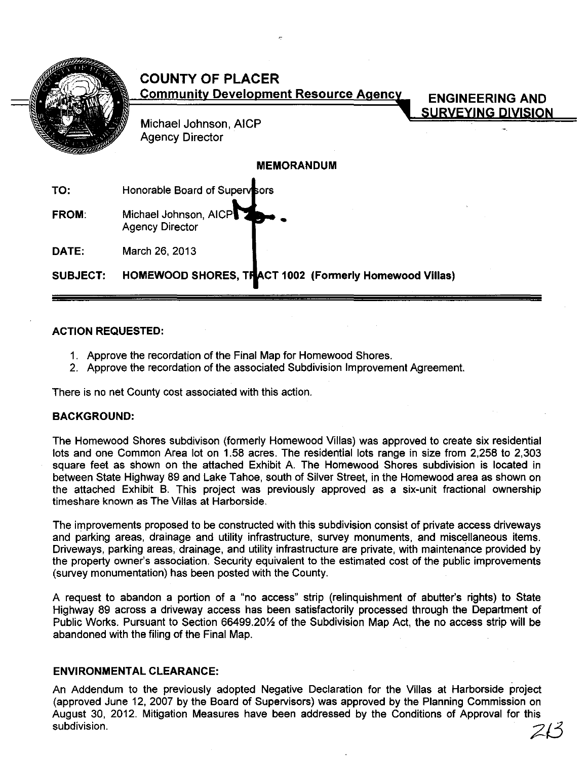|                   | <b>COUNTY OF PLACER</b><br><b>Community Development Resource Agency</b><br><b>ENGINEERING AND</b><br><b>SURVEYING DIVISION</b><br>Michael Johnson, AICP<br><b>Agency Director</b> |
|-------------------|-----------------------------------------------------------------------------------------------------------------------------------------------------------------------------------|
| <b>MEMORANDUM</b> |                                                                                                                                                                                   |
| TO:               | Honorable Board of Supervisors                                                                                                                                                    |
| <b>FROM:</b>      | Michael Johnson, AICP<br><b>Agency Director</b>                                                                                                                                   |
| DATE:             | March 26, 2013                                                                                                                                                                    |
| SUBJECT:          | HOMEWOOD SHORES, THACT 1002 (Formerly Homewood Villas)                                                                                                                            |

# ACTION REQUESTED:

- 1. Approve the recordation of the Final Map for Homewood Shores.
- 2. Approve the recordation of the associated Subdivision Improvement Agreement.

There is no net County cost associated with this action.

### BACKGROUND:

The Homewood Shores subdivison (formerly Homewood Villas) was approved to create six residential lots and one Common Area lot on 1.58 acres. The residential lots range in size from 2,258 to 2,303 square feet as shown on the attached Exhibit A. The Homewood Shores subdivision is located in between State Highway 89 and Lake Tahoe, south of Silver Street, in the Homewood area as shown on the attached Exhibit B. This project was previously approved as a six-unit fractional ownership timeshare known as The Villas at Harborside.

The improvements proposed to be constructed with this subdivision consist of private access driveways and parking areas, drainage and utility infrastructure, survey monuments, and miscellaneous items. Driveways, parking areas, drainage, and utility infrastructure are private, with maintenance provided by the property owner's association. Security equivalent to the estimated cost of the public improvements (survey monumentation) has been posted with the County.

A request to abandon a portion of a "no access" strip (relinquishment of abutter's rights) to State Highway 89 across a driveway access has been satisfactorily processed through the Department of Public Works. Pursuant to Section 66499.201⁄2 of the Subdivision Map Act, the no access strip will be abandoned with the filing of the Final Map.

### ENVIRONMENTAL CLEARANCE:

An Addendum to the previously adopted Negative Declaration for the Villas at Harborside project (approved June 12,2007 by the Board of Supervisors) was approved by the Planning Commission on August 30, 2012. Mitigation Measures have been addressed by the Conditions of Approval for this<br>subdivision.  $\mathbb{Z} \mathbb{S}$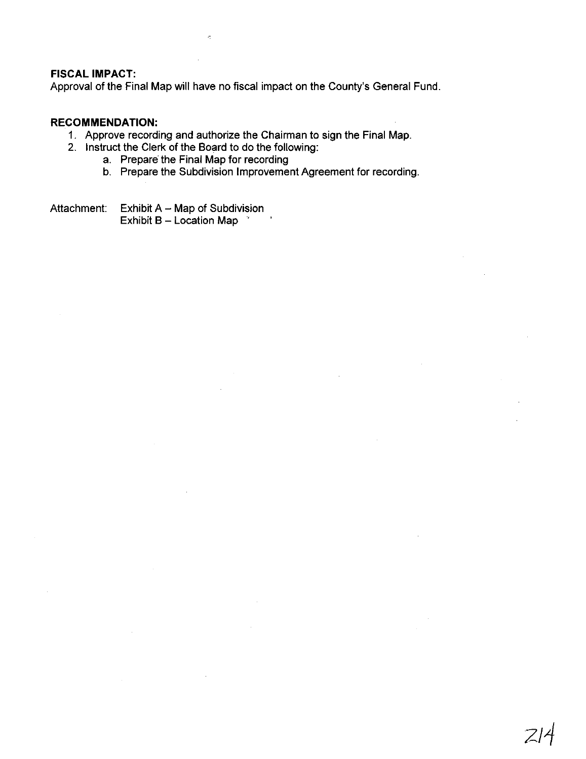#### **FISCAL IMPACT:**

Approval of the Final Map will have no fiscal impact on the County's General Fund.

# **RECOMMENDATION:**

- 1. Approve recording and authorize the Chairman to sign the Final Map.
- 2. Instruct the Clerk of the Board to do the following:
	- a. Prepare the Final Map for recording
	- b. Prepare the Subdivision Improvement Agreement for recording.

2/1

Attachment: Exhibit  $A - Map$  of Subdivision Exhibit B - Location Map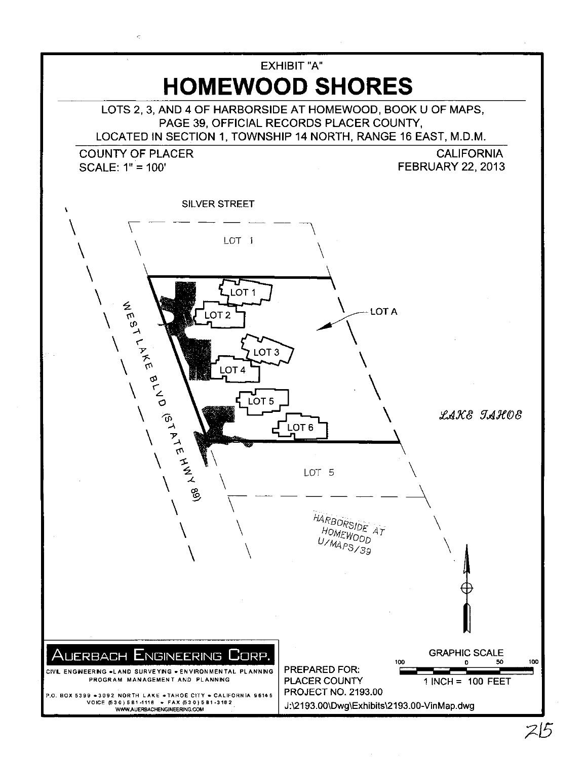

ċ,

 $215$